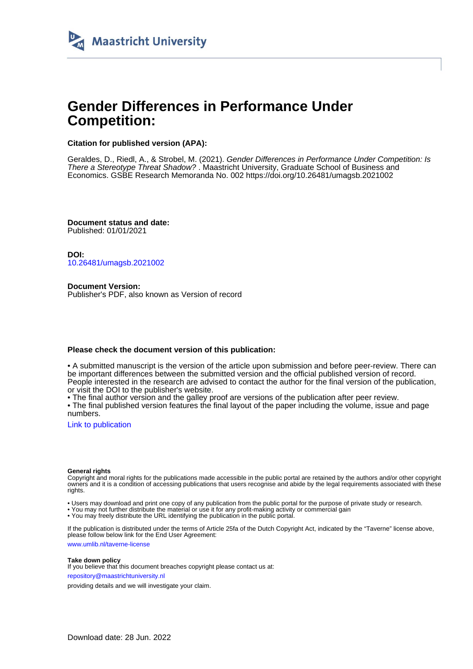

# **Gender Differences in Performance Under Competition:**

#### **Citation for published version (APA):**

Geraldes, D., Riedl, A., & Strobel, M. (2021). Gender Differences in Performance Under Competition: Is There a Stereotype Threat Shadow? . Maastricht University, Graduate School of Business and Economics. GSBE Research Memoranda No. 002 <https://doi.org/10.26481/umagsb.2021002>

**Document status and date:** Published: 01/01/2021

**DOI:** [10.26481/umagsb.2021002](https://doi.org/10.26481/umagsb.2021002)

**Document Version:** Publisher's PDF, also known as Version of record

#### **Please check the document version of this publication:**

• A submitted manuscript is the version of the article upon submission and before peer-review. There can be important differences between the submitted version and the official published version of record. People interested in the research are advised to contact the author for the final version of the publication, or visit the DOI to the publisher's website.

• The final author version and the galley proof are versions of the publication after peer review.

• The final published version features the final layout of the paper including the volume, issue and page numbers.

[Link to publication](https://cris.maastrichtuniversity.nl/en/publications/5a43816b-2ce8-495e-846a-a4f2cc7acc60)

#### **General rights**

Copyright and moral rights for the publications made accessible in the public portal are retained by the authors and/or other copyright owners and it is a condition of accessing publications that users recognise and abide by the legal requirements associated with these rights.

• Users may download and print one copy of any publication from the public portal for the purpose of private study or research.

• You may not further distribute the material or use it for any profit-making activity or commercial gain

• You may freely distribute the URL identifying the publication in the public portal.

If the publication is distributed under the terms of Article 25fa of the Dutch Copyright Act, indicated by the "Taverne" license above, please follow below link for the End User Agreement:

www.umlib.nl/taverne-license

#### **Take down policy**

If you believe that this document breaches copyright please contact us at: repository@maastrichtuniversity.nl

providing details and we will investigate your claim.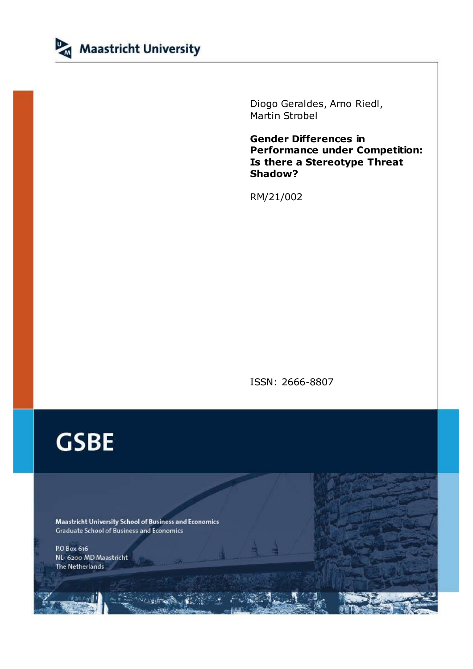

Diogo Geraldes, Arno Riedl, Martin Strobel

**Gender Differences in Performance under Competition: Is there a Stereotype Threat Shadow?**

RM/21/002

ISSN: 2666-8807

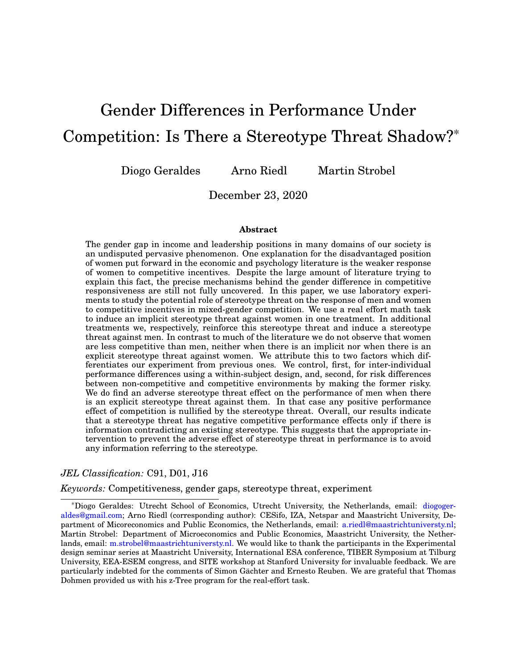# Gender Differences in Performance Under Competition: Is There a Stereotype Threat Shadow?\*

Diogo Geraldes Arno Riedl Martin Strobel

December 23, 2020

#### **Abstract**

The gender gap in income and leadership positions in many domains of our society is an undisputed pervasive phenomenon. One explanation for the disadvantaged position of women put forward in the economic and psychology literature is the weaker response of women to competitive incentives. Despite the large amount of literature trying to explain this fact, the precise mechanisms behind the gender difference in competitive responsiveness are still not fully uncovered. In this paper, we use laboratory experiments to study the potential role of stereotype threat on the response of men and women to competitive incentives in mixed-gender competition. We use a real effort math task to induce an implicit stereotype threat against women in one treatment. In additional treatments we, respectively, reinforce this stereotype threat and induce a stereotype threat against men. In contrast to much of the literature we do not observe that women are less competitive than men, neither when there is an implicit nor when there is an explicit stereotype threat against women. We attribute this to two factors which differentiates our experiment from previous ones. We control, first, for inter-individual performance differences using a within-subject design, and, second, for risk differences between non-competitive and competitive environments by making the former risky. We do find an adverse stereotype threat effect on the performance of men when there is an explicit stereotype threat against them. In that case any positive performance effect of competition is nullified by the stereotype threat. Overall, our results indicate that a stereotype threat has negative competitive performance effects only if there is information contradicting an existing stereotype. This suggests that the appropriate intervention to prevent the adverse effect of stereotype threat in performance is to avoid any information referring to the stereotype.

#### *JEL Classification:* C91, D01, J16

*Keywords:* Competitiveness, gender gaps, stereotype threat, experiment

\*Diogo Geraldes: Utrecht School of Economics, Utrecht University, the Netherlands, email: [diogoger](mailto:diogogeraldes@gmail.com)[aldes@gmail.com;](mailto:diogogeraldes@gmail.com) Arno Riedl (corresponding author): CESifo, IZA, Netspar and Maastricht University, Department of Micoreconomics and Public Economics, the Netherlands, email: [a.riedl@maastrichtuniversty.nl;](mailto:a.riedl@maastrichtuniversty.nl) Martin Strobel: Department of Microeconomics and Public Economics, Maastricht University, the Netherlands, email: [m.strobel@maastrichtuniversty.nl.](mailto:m.strobel@maastrichtuniversty.nl) We would like to thank the participants in the Experimental design seminar series at Maastricht University, International ESA conference, TIBER Symposium at Tilburg University, EEA-ESEM congress, and SITE workshop at Stanford University for invaluable feedback. We are particularly indebted for the comments of Simon Gächter and Ernesto Reuben. We are grateful that Thomas Dohmen provided us with his z-Tree program for the real-effort task.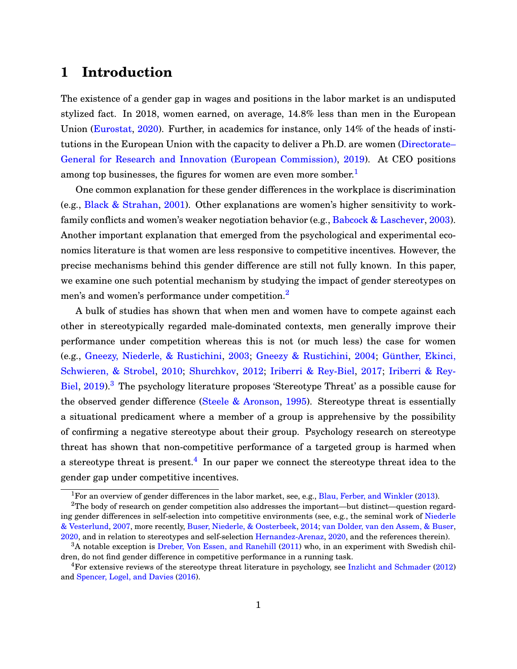# **1 Introduction**

The existence of a gender gap in wages and positions in the labor market is an undisputed stylized fact. In 2018, women earned, on average, 14.8% less than men in the European Union [\(Eurostat,](#page-29-0) [2020\)](#page-29-0). Further, in academics for instance, only 14% of the heads of institutions in the European Union with the capacity to deliver a Ph.D. are women [\(Directorate–](#page-29-0) [General for Research and Innovation \(European Commission\),](#page-29-0) [2019\)](#page-29-0). At CEO positions among top businesses, the figures for women are even more somber.<sup>1</sup>

One common explanation for these gender differences in the workplace is discrimination (e.g., [Black & Strahan,](#page-29-0) [2001\)](#page-29-0). Other explanations are women's higher sensitivity to workfamily conflicts and women's weaker negotiation behavior (e.g., [Babcock & Laschever,](#page-29-0) [2003\)](#page-29-0). Another important explanation that emerged from the psychological and experimental economics literature is that women are less responsive to competitive incentives. However, the precise mechanisms behind this gender difference are still not fully known. In this paper, we examine one such potential mechanism by studying the impact of gender stereotypes on men's and women's performance under competition.<sup>2</sup>

A bulk of studies has shown that when men and women have to compete against each other in stereotypically regarded male-dominated contexts, men generally improve their performance under competition whereas this is not (or much less) the case for women (e.g., [Gneezy, Niederle, & Rustichini,](#page-30-0) [2003;](#page-30-0) [Gneezy & Rustichini,](#page-30-0) [2004;](#page-30-0) [Günther, Ekinci,](#page-30-0) [Schwieren, & Strobel,](#page-30-0) [2010;](#page-30-0) [Shurchkov,](#page-31-0) [2012;](#page-31-0) [Iriberri & Rey-Biel,](#page-30-0) [2017;](#page-30-0) [Iriberri & Rey-](#page-30-0)[Biel,](#page-30-0) [2019\)](#page-30-0).<sup>3</sup> The psychology literature proposes 'Stereotype Threat' as a possible cause for the observed gender difference (Steele  $&$  Aronson, [1995\)](#page-31-0). Stereotype threat is essentially a situational predicament where a member of a group is apprehensive by the possibility of confirming a negative stereotype about their group. Psychology research on stereotype threat has shown that non-competitive performance of a targeted group is harmed when a stereotype threat is present.<sup>4</sup> In our paper we connect the stereotype threat idea to the gender gap under competitive incentives.

<sup>&</sup>lt;sup>1</sup>For an overview of gender differences in the labor market, see, e.g., [Blau, Ferber, and Winkler](#page-29-0) [\(2013\)](#page-29-0).

<sup>&</sup>lt;sup>2</sup>The body of research on gender competition also addresses the important—but distinct—question regarding gender differences in self-selection into competitive environments (see, e.g., the seminal work of [Niederle](#page-30-0) [& Vesterlund,](#page-30-0) [2007,](#page-30-0) more recently, [Buser, Niederle, & Oosterbeek,](#page-29-0) [2014;](#page-29-0) [van Dolder, van den Assem, & Buser,](#page-31-0) [2020,](#page-31-0) and in relation to stereotypes and self-selection [Hernandez-Arenaz,](#page-30-0) [2020,](#page-30-0) and the references therein).

<sup>&</sup>lt;sup>3</sup>A notable exception is [Dreber, Von Essen, and Ranehill](#page-29-0) [\(2011\)](#page-29-0) who, in an experiment with Swedish children, do not find gender difference in competitive performance in a running task.

<sup>4</sup>For extensive reviews of the stereotype threat literature in psychology, see [Inzlicht and Schmader](#page-30-0) [\(2012\)](#page-30-0) and [Spencer, Logel, and Davies](#page-31-0) [\(2016\)](#page-31-0).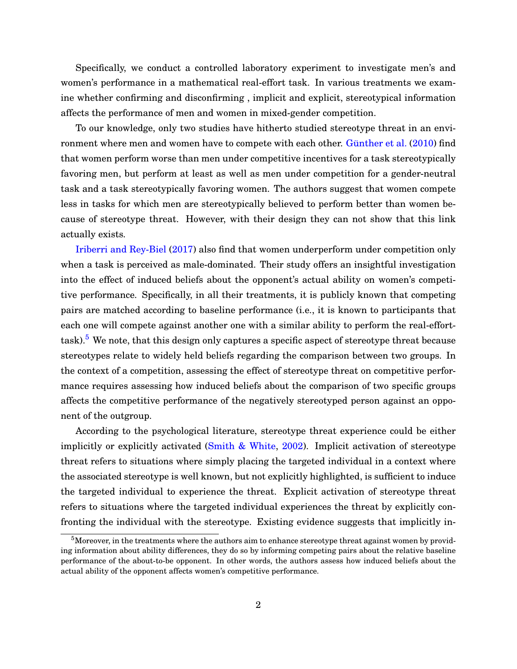Specifically, we conduct a controlled laboratory experiment to investigate men's and women's performance in a mathematical real-effort task. In various treatments we examine whether confirming and disconfirming , implicit and explicit, stereotypical information affects the performance of men and women in mixed-gender competition.

To our knowledge, only two studies have hitherto studied stereotype threat in an environment where men and women have to compete with each other. [Günther et al.](#page-30-0) [\(2010\)](#page-30-0) find that women perform worse than men under competitive incentives for a task stereotypically favoring men, but perform at least as well as men under competition for a gender-neutral task and a task stereotypically favoring women. The authors suggest that women compete less in tasks for which men are stereotypically believed to perform better than women because of stereotype threat. However, with their design they can not show that this link actually exists.

[Iriberri and Rey-Biel](#page-30-0) [\(2017\)](#page-30-0) also find that women underperform under competition only when a task is perceived as male-dominated. Their study offers an insightful investigation into the effect of induced beliefs about the opponent's actual ability on women's competitive performance. Specifically, in all their treatments, it is publicly known that competing pairs are matched according to baseline performance (i.e., it is known to participants that each one will compete against another one with a similar ability to perform the real-efforttask).<sup>5</sup> We note, that this design only captures a specific aspect of stereotype threat because stereotypes relate to widely held beliefs regarding the comparison between two groups. In the context of a competition, assessing the effect of stereotype threat on competitive performance requires assessing how induced beliefs about the comparison of two specific groups affects the competitive performance of the negatively stereotyped person against an opponent of the outgroup.

According to the psychological literature, stereotype threat experience could be either implicitly or explicitly activated [\(Smith & White,](#page-31-0) [2002\)](#page-31-0). Implicit activation of stereotype threat refers to situations where simply placing the targeted individual in a context where the associated stereotype is well known, but not explicitly highlighted, is sufficient to induce the targeted individual to experience the threat. Explicit activation of stereotype threat refers to situations where the targeted individual experiences the threat by explicitly confronting the individual with the stereotype. Existing evidence suggests that implicitly in-

<sup>&</sup>lt;sup>5</sup>Moreover, in the treatments where the authors aim to enhance stereotype threat against women by providing information about ability differences, they do so by informing competing pairs about the relative baseline performance of the about-to-be opponent. In other words, the authors assess how induced beliefs about the actual ability of the opponent affects women's competitive performance.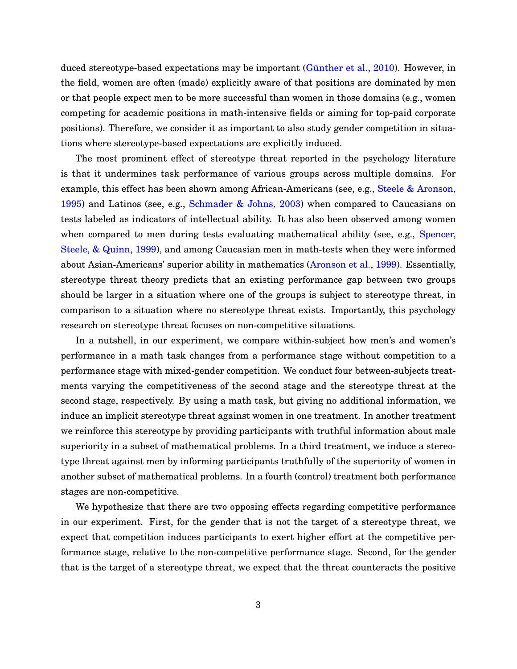duced stereotype-based expectations may be important [\(Günther et al.,](#page-30-0) [2010\)](#page-30-0). However, in the field, women are often (made) explicitly aware of that positions are dominated by men or that people expect men to be more successful than women in those domains (e.g., women competing for academic positions in math-intensive fields or aiming for top-paid corporate positions). Therefore, we consider it as important to also study gender competition in situations where stereotype-based expectations are explicitly induced.

The most prominent effect of stereotype threat reported in the psychology literature is that it undermines task performance of various groups across multiple domains. For example, this effect has been shown among African-Americans (see, e.g., [Steele & Aronson,](#page-31-0) [1995\)](#page-31-0) and Latinos (see, e.g., [Schmader & Johns,](#page-30-0) [2003\)](#page-30-0) when compared to Caucasians on tests labeled as indicators of intellectual ability. It has also been observed among women when compared to men during tests evaluating mathematical ability (see, e.g., [Spencer,](#page-31-0) [Steele, & Quinn,](#page-31-0) [1999\)](#page-31-0), and among Caucasian men in math-tests when they were informed about Asian-Americans' superior ability in mathematics [\(Aronson et al.,](#page-29-0) [1999\)](#page-29-0). Essentially, stereotype threat theory predicts that an existing performance gap between two groups should be larger in a situation where one of the groups is subject to stereotype threat, in comparison to a situation where no stereotype threat exists. Importantly, this psychology research on stereotype threat focuses on non-competitive situations.

In a nutshell, in our experiment, we compare within-subject how men's and women's performance in a math task changes from a performance stage without competition to a performance stage with mixed-gender competition. We conduct four between-subjects treatments varying the competitiveness of the second stage and the stereotype threat at the second stage, respectively. By using a math task, but giving no additional information, we induce an implicit stereotype threat against women in one treatment. In another treatment we reinforce this stereotype by providing participants with truthful information about male superiority in a subset of mathematical problems. In a third treatment, we induce a stereotype threat against men by informing participants truthfully of the superiority of women in another subset of mathematical problems. In a fourth (control) treatment both performance stages are non-competitive.

We hypothesize that there are two opposing effects regarding competitive performance in our experiment. First, for the gender that is not the target of a stereotype threat, we expect that competition induces participants to exert higher effort at the competitive performance stage, relative to the non-competitive performance stage. Second, for the gender that is the target of a stereotype threat, we expect that the threat counteracts the positive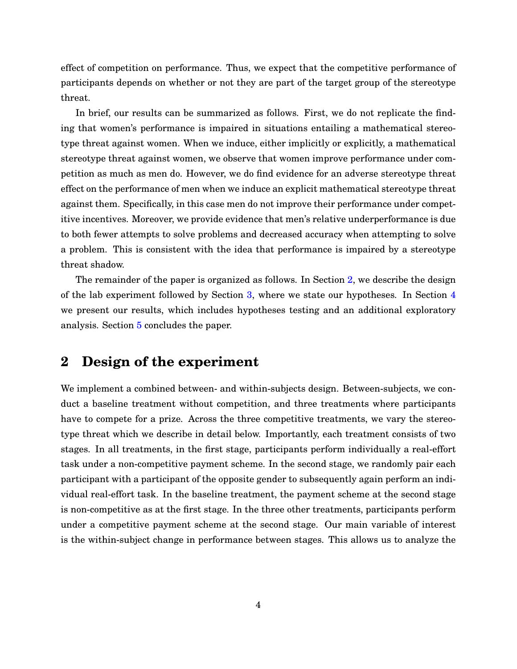effect of competition on performance. Thus, we expect that the competitive performance of participants depends on whether or not they are part of the target group of the stereotype threat.

In brief, our results can be summarized as follows. First, we do not replicate the finding that women's performance is impaired in situations entailing a mathematical stereotype threat against women. When we induce, either implicitly or explicitly, a mathematical stereotype threat against women, we observe that women improve performance under competition as much as men do. However, we do find evidence for an adverse stereotype threat effect on the performance of men when we induce an explicit mathematical stereotype threat against them. Specifically, in this case men do not improve their performance under competitive incentives. Moreover, we provide evidence that men's relative underperformance is due to both fewer attempts to solve problems and decreased accuracy when attempting to solve a problem. This is consistent with the idea that performance is impaired by a stereotype threat shadow.

The remainder of the paper is organized as follows. In Section 2, we describe the design of the lab experiment followed by Section [3,](#page-11-0) where we state our hypotheses. In Section [4](#page-14-0) we present our results, which includes hypotheses testing and an additional exploratory analysis. Section [5](#page-25-0) concludes the paper.

## **2 Design of the experiment**

We implement a combined between- and within-subjects design. Between-subjects, we conduct a baseline treatment without competition, and three treatments where participants have to compete for a prize. Across the three competitive treatments, we vary the stereotype threat which we describe in detail below. Importantly, each treatment consists of two stages. In all treatments, in the first stage, participants perform individually a real-effort task under a non-competitive payment scheme. In the second stage, we randomly pair each participant with a participant of the opposite gender to subsequently again perform an individual real-effort task. In the baseline treatment, the payment scheme at the second stage is non-competitive as at the first stage. In the three other treatments, participants perform under a competitive payment scheme at the second stage. Our main variable of interest is the within-subject change in performance between stages. This allows us to analyze the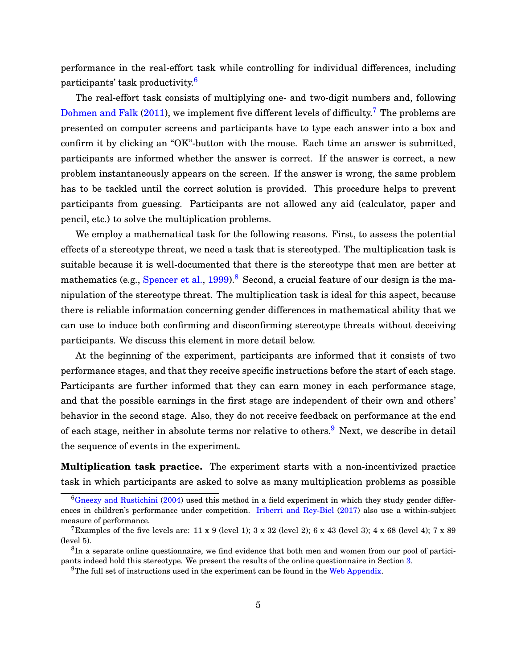performance in the real-effort task while controlling for individual differences, including participants' task productivity.<sup>6</sup>

The real-effort task consists of multiplying one- and two-digit numbers and, following [Dohmen and Falk](#page-29-0) [\(2011\)](#page-29-0), we implement five different levels of difficulty.<sup>7</sup> The problems are presented on computer screens and participants have to type each answer into a box and confirm it by clicking an "OK"-button with the mouse. Each time an answer is submitted, participants are informed whether the answer is correct. If the answer is correct, a new problem instantaneously appears on the screen. If the answer is wrong, the same problem has to be tackled until the correct solution is provided. This procedure helps to prevent participants from guessing. Participants are not allowed any aid (calculator, paper and pencil, etc.) to solve the multiplication problems.

We employ a mathematical task for the following reasons. First, to assess the potential effects of a stereotype threat, we need a task that is stereotyped. The multiplication task is suitable because it is well-documented that there is the stereotype that men are better at mathematics (e.g., [Spencer et al.,](#page-31-0) [1999\)](#page-31-0).<sup>8</sup> Second, a crucial feature of our design is the manipulation of the stereotype threat. The multiplication task is ideal for this aspect, because there is reliable information concerning gender differences in mathematical ability that we can use to induce both confirming and disconfirming stereotype threats without deceiving participants. We discuss this element in more detail below.

At the beginning of the experiment, participants are informed that it consists of two performance stages, and that they receive specific instructions before the start of each stage. Participants are further informed that they can earn money in each performance stage, and that the possible earnings in the first stage are independent of their own and others' behavior in the second stage. Also, they do not receive feedback on performance at the end of each stage, neither in absolute terms nor relative to others.<sup>9</sup> Next, we describe in detail the sequence of events in the experiment.

**Multiplication task practice.** The experiment starts with a non-incentivized practice task in which participants are asked to solve as many multiplication problems as possible

 ${}^6$ [Gneezy and Rustichini](#page-30-0) [\(2004\)](#page-30-0) used this method in a field experiment in which they study gender differences in children's performance under competition. [Iriberri and Rey-Biel](#page-30-0) [\(2017\)](#page-30-0) also use a within-subject measure of performance.

<sup>&</sup>lt;sup>7</sup>Examples of the five levels are: 11 x 9 (level 1);  $3 \times 32$  (level 2);  $6 \times 43$  (level 3);  $4 \times 68$  (level 4);  $7 \times 89$ (level 5).

 ${}^{8}$ In a separate online questionnaire, we find evidence that both men and women from our pool of participants indeed hold this stereotype. We present the results of the online questionnaire in Section [3.](#page-11-0)

 $9$ The full set of instructions used in the experiment can be found in the [Web Appendix.](https://drive.google.com/file/d/0B_nE1lM3ktKNaXpVSm1nV2JuZEE/view)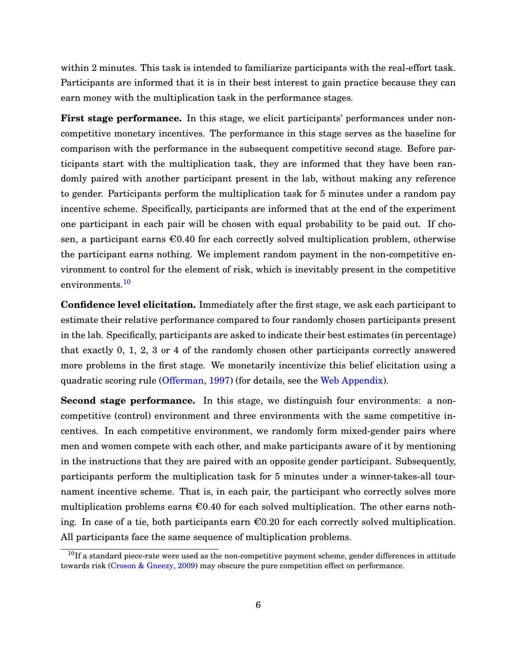within 2 minutes. This task is intended to familiarize participants with the real-effort task. Participants are informed that it is in their best interest to gain practice because they can earn money with the multiplication task in the performance stages.

**First stage performance.** In this stage, we elicit participants' performances under noncompetitive monetary incentives. The performance in this stage serves as the baseline for comparison with the performance in the subsequent competitive second stage. Before participants start with the multiplication task, they are informed that they have been randomly paired with another participant present in the lab, without making any reference to gender. Participants perform the multiplication task for 5 minutes under a random pay incentive scheme. Specifically, participants are informed that at the end of the experiment one participant in each pair will be chosen with equal probability to be paid out. If chosen, a participant earns  $\epsilon 0.40$  for each correctly solved multiplication problem, otherwise the participant earns nothing. We implement random payment in the non-competitive environment to control for the element of risk, which is inevitably present in the competitive environments.<sup>10</sup>

**Confidence level elicitation.** Immediately after the first stage, we ask each participant to estimate their relative performance compared to four randomly chosen participants present in the lab. Specifically, participants are asked to indicate their best estimates (in percentage) that exactly 0, 1, 2, 3 or 4 of the randomly chosen other participants correctly answered more problems in the first stage. We monetarily incentivize this belief elicitation using a quadratic scoring rule [\(Offerman,](#page-30-0) [1997\)](#page-30-0) (for details, see the [Web Appendix\)](https://drive.google.com/file/d/0B_nE1lM3ktKNaXpVSm1nV2JuZEE/view).

**Second stage performance.** In this stage, we distinguish four environments: a noncompetitive (control) environment and three environments with the same competitive incentives. In each competitive environment, we randomly form mixed-gender pairs where men and women compete with each other, and make participants aware of it by mentioning in the instructions that they are paired with an opposite gender participant. Subsequently, participants perform the multiplication task for 5 minutes under a winner-takes-all tournament incentive scheme. That is, in each pair, the participant who correctly solves more multiplication problems earns  $\epsilon 0.40$  for each solved multiplication. The other earns nothing. In case of a tie, both participants earn  $\epsilon 0.20$  for each correctly solved multiplication. All participants face the same sequence of multiplication problems.

 $10$ If a standard piece-rate were used as the non-competitive payment scheme, gender differences in attitude towards risk [\(Croson & Gneezy,](#page-29-0) [2009\)](#page-29-0) may obscure the pure competition effect on performance.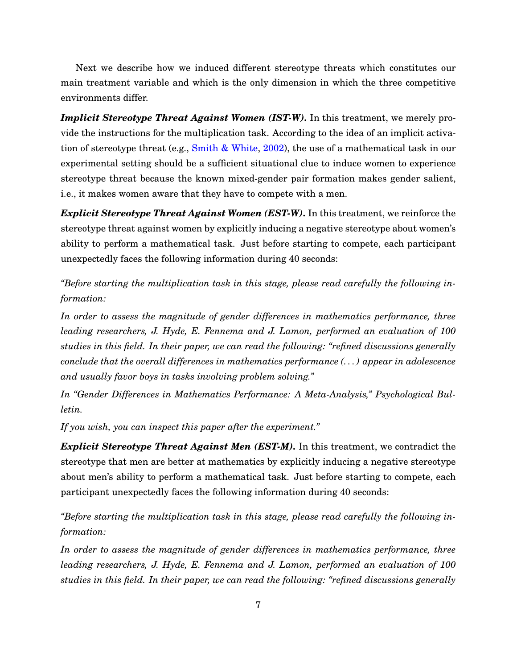Next we describe how we induced different stereotype threats which constitutes our main treatment variable and which is the only dimension in which the three competitive environments differ.

*Implicit Stereotype Threat Against Women (IST-W). In this treatment, we merely pro*vide the instructions for the multiplication task. According to the idea of an implicit activation of stereotype threat (e.g., [Smith & White,](#page-31-0) [2002\)](#page-31-0), the use of a mathematical task in our experimental setting should be a sufficient situational clue to induce women to experience stereotype threat because the known mixed-gender pair formation makes gender salient, i.e., it makes women aware that they have to compete with a men.

*Explicit Stereotype Threat Against Women (EST-W).* In this treatment, we reinforce the stereotype threat against women by explicitly inducing a negative stereotype about women's ability to perform a mathematical task. Just before starting to compete, each participant unexpectedly faces the following information during 40 seconds:

*"Before starting the multiplication task in this stage, please read carefully the following information:*

*In order to assess the magnitude of gender differences in mathematics performance, three leading researchers, J. Hyde, E. Fennema and J. Lamon, performed an evaluation of 100 studies in this field. In their paper, we can read the following: "refined discussions generally conclude that the overall differences in mathematics performance (. . . ) appear in adolescence and usually favor boys in tasks involving problem solving."*

*In "Gender Differences in Mathematics Performance: A Meta-Analysis," Psychological Bulletin.*

*If you wish, you can inspect this paper after the experiment."*

*Explicit Stereotype Threat Against Men (EST-M).* In this treatment, we contradict the stereotype that men are better at mathematics by explicitly inducing a negative stereotype about men's ability to perform a mathematical task. Just before starting to compete, each participant unexpectedly faces the following information during 40 seconds:

*"Before starting the multiplication task in this stage, please read carefully the following information:*

*In order to assess the magnitude of gender differences in mathematics performance, three leading researchers, J. Hyde, E. Fennema and J. Lamon, performed an evaluation of 100 studies in this field. In their paper, we can read the following: "refined discussions generally*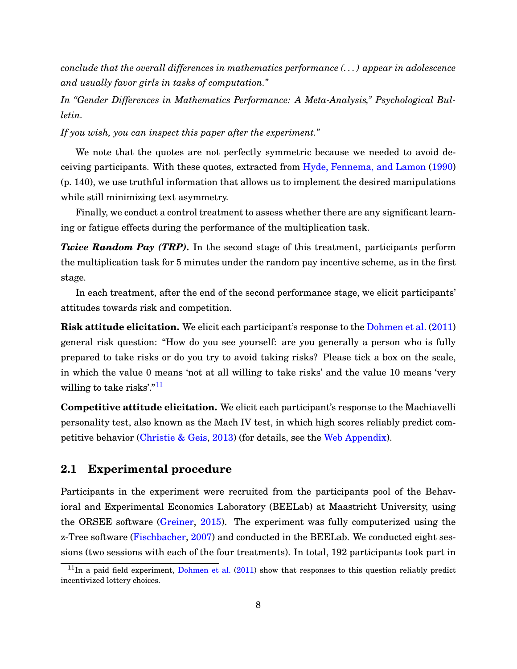*conclude that the overall differences in mathematics performance (. . . ) appear in adolescence and usually favor girls in tasks of computation."*

*In "Gender Differences in Mathematics Performance: A Meta-Analysis," Psychological Bulletin.*

*If you wish, you can inspect this paper after the experiment."*

We note that the quotes are not perfectly symmetric because we needed to avoid deceiving participants. With these quotes, extracted from [Hyde, Fennema, and Lamon](#page-30-0) [\(1990\)](#page-30-0) (p. 140), we use truthful information that allows us to implement the desired manipulations while still minimizing text asymmetry.

Finally, we conduct a control treatment to assess whether there are any significant learning or fatigue effects during the performance of the multiplication task.

*Twice Random Pay (TRP)*. In the second stage of this treatment, participants perform the multiplication task for 5 minutes under the random pay incentive scheme, as in the first stage.

In each treatment, after the end of the second performance stage, we elicit participants' attitudes towards risk and competition.

**Risk attitude elicitation.** We elicit each participant's response to the [Dohmen et al.](#page-29-0) [\(2011\)](#page-29-0) general risk question: "How do you see yourself: are you generally a person who is fully prepared to take risks or do you try to avoid taking risks? Please tick a box on the scale, in which the value 0 means 'not at all willing to take risks' and the value 10 means 'very willing to take risks'."<sup>11</sup>

**Competitive attitude elicitation.** We elicit each participant's response to the Machiavelli personality test, also known as the Mach IV test, in which high scores reliably predict competitive behavior [\(Christie & Geis,](#page-29-0) [2013\)](#page-29-0) (for details, see the [Web Appendix\)](https://drive.google.com/file/d/0B_nE1lM3ktKNaXpVSm1nV2JuZEE/view).

## **2.1 Experimental procedure**

Participants in the experiment were recruited from the participants pool of the Behavioral and Experimental Economics Laboratory (BEELab) at Maastricht University, using the ORSEE software [\(Greiner,](#page-30-0) [2015\)](#page-30-0). The experiment was fully computerized using the z-Tree software [\(Fischbacher,](#page-29-0) [2007\)](#page-29-0) and conducted in the BEELab. We conducted eight sessions (two sessions with each of the four treatments). In total, 192 participants took part in

 $11$ In a paid field experiment, [Dohmen et al.](#page-29-0) [\(2011\)](#page-29-0) show that responses to this question reliably predict incentivized lottery choices.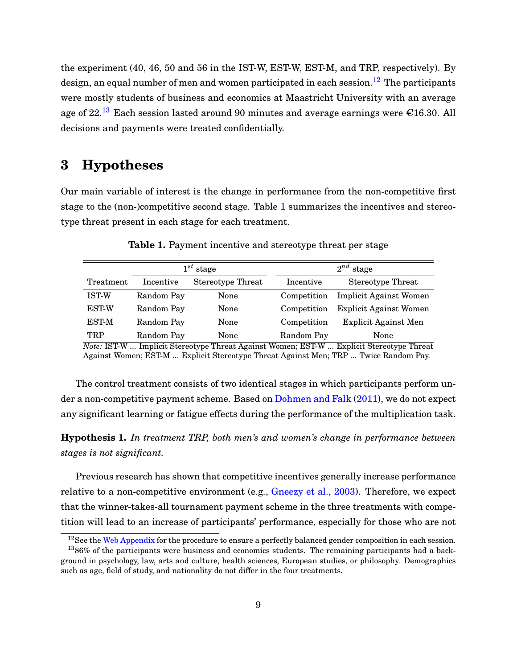<span id="page-11-0"></span>the experiment (40, 46, 50 and 56 in the IST-W, EST-W, EST-M, and TRP, respectively). By design, an equal number of men and women participated in each session.<sup>12</sup> The participants were mostly students of business and economics at Maastricht University with an average age of  $22.^{13}$  Each session lasted around 90 minutes and average earnings were  $\epsilon$ 16.30. All decisions and payments were treated confidentially.

# **3 Hypotheses**

Our main variable of interest is the change in performance from the non-competitive first stage to the (non-)competitive second stage. Table 1 summarizes the incentives and stereotype threat present in each stage for each treatment.

|                                                     |                             | $1^{st}$ stage                       | $2^{nd}$ stage           |                                                                    |  |  |
|-----------------------------------------------------|-----------------------------|--------------------------------------|--------------------------|--------------------------------------------------------------------|--|--|
| Treatment                                           | Incentive                   | <b>Stereotype Threat</b>             | Incentive                | <b>Stereotype Threat</b>                                           |  |  |
| <b>IST-W</b>                                        | Random Pay                  | None                                 | Competition              | <b>Implicit Against Women</b>                                      |  |  |
| <b>EST-W</b>                                        | Random Pay                  | None                                 | Competition              | <b>Explicit Against Women</b>                                      |  |  |
| <b>EST-M</b>                                        | Random Pay                  | None                                 | Competition              | <b>Explicit Against Men</b>                                        |  |  |
| TRP<br>$\blacksquare$<br>$T$ $\sim$ $T$ $T$ $T$ $T$ | Random Pay<br>$\cdots$<br>÷ | None<br><br>$. + +$<br>$\sim$ $\sim$ | Random Pay<br>$H \cap T$ | None<br><b>PERT</b><br>$\cdots$ $\sim$<br>$\overline{\phantom{a}}$ |  |  |

**Table 1.** Payment incentive and stereotype threat per stage

*Note:* IST-W ... Implicit Stereotype Threat Against Women; EST-W ... Explicit Stereotype Threat Against Women; EST-M ... Explicit Stereotype Threat Against Men; TRP ... Twice Random Pay.

The control treatment consists of two identical stages in which participants perform under a non-competitive payment scheme. Based on [Dohmen and Falk](#page-29-0) [\(2011\)](#page-29-0), we do not expect any significant learning or fatigue effects during the performance of the multiplication task.

**Hypothesis 1.** *In treatment TRP, both men's and women's change in performance between stages is not significant.*

Previous research has shown that competitive incentives generally increase performance relative to a non-competitive environment (e.g., [Gneezy et al.,](#page-30-0) [2003\)](#page-30-0). Therefore, we expect that the winner-takes-all tournament payment scheme in the three treatments with competition will lead to an increase of participants' performance, especially for those who are not

 $12$ See the [Web Appendix](https://drive.google.com/file/d/0B_nE1lM3ktKNaXpVSm1nV2JuZEE/view) for the procedure to ensure a perfectly balanced gender composition in each session.

 $1386\%$  of the participants were business and economics students. The remaining participants had a background in psychology, law, arts and culture, health sciences, European studies, or philosophy. Demographics such as age, field of study, and nationality do not differ in the four treatments.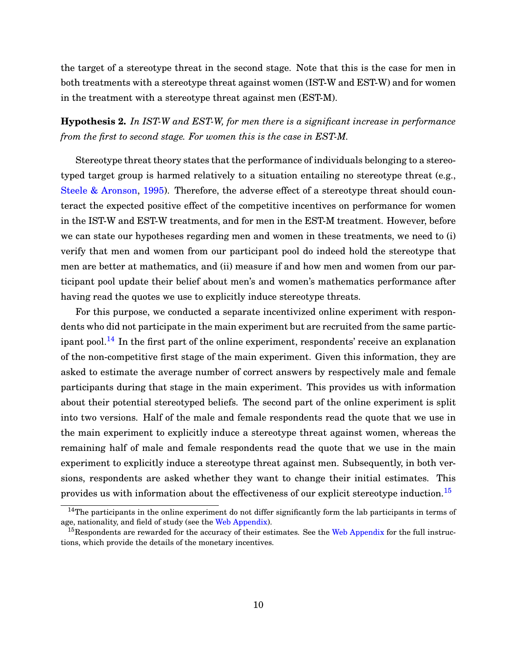<span id="page-12-0"></span>the target of a stereotype threat in the second stage. Note that this is the case for men in both treatments with a stereotype threat against women (IST-W and EST-W) and for women in the treatment with a stereotype threat against men (EST-M).

**Hypothesis 2.** *In IST-W and EST-W, for men there is a significant increase in performance from the first to second stage. For women this is the case in EST-M.*

Stereotype threat theory states that the performance of individuals belonging to a stereotyped target group is harmed relatively to a situation entailing no stereotype threat (e.g., [Steele & Aronson,](#page-31-0) [1995\)](#page-31-0). Therefore, the adverse effect of a stereotype threat should counteract the expected positive effect of the competitive incentives on performance for women in the IST-W and EST-W treatments, and for men in the EST-M treatment. However, before we can state our hypotheses regarding men and women in these treatments, we need to (i) verify that men and women from our participant pool do indeed hold the stereotype that men are better at mathematics, and (ii) measure if and how men and women from our participant pool update their belief about men's and women's mathematics performance after having read the quotes we use to explicitly induce stereotype threats.

For this purpose, we conducted a separate incentivized online experiment with respondents who did not participate in the main experiment but are recruited from the same participant pool.<sup>14</sup> In the first part of the online experiment, respondents' receive an explanation of the non-competitive first stage of the main experiment. Given this information, they are asked to estimate the average number of correct answers by respectively male and female participants during that stage in the main experiment. This provides us with information about their potential stereotyped beliefs. The second part of the online experiment is split into two versions. Half of the male and female respondents read the quote that we use in the main experiment to explicitly induce a stereotype threat against women, whereas the remaining half of male and female respondents read the quote that we use in the main experiment to explicitly induce a stereotype threat against men. Subsequently, in both versions, respondents are asked whether they want to change their initial estimates. This provides us with information about the effectiveness of our explicit stereotype induction.<sup>15</sup>

 $14$ The participants in the online experiment do not differ significantly form the lab participants in terms of age, nationality, and field of study (see the [Web Appendix\)](https://drive.google.com/file/d/0B_nE1lM3ktKNaXpVSm1nV2JuZEE/view).

<sup>&</sup>lt;sup>15</sup>Respondents are rewarded for the accuracy of their estimates. See the [Web Appendix](https://drive.google.com/file/d/0B_nE1lM3ktKNaXpVSm1nV2JuZEE/view) for the full instructions, which provide the details of the monetary incentives.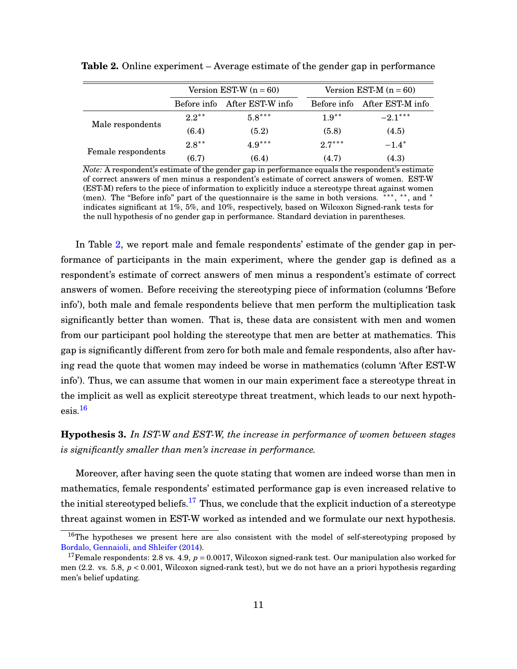|                    |             | Version EST-W $(n = 60)$ | Version EST-M $(n = 60)$ |                              |  |
|--------------------|-------------|--------------------------|--------------------------|------------------------------|--|
|                    | Before info | After EST-W info         |                          | Before info After EST-M info |  |
| Male respondents   | $2.2***$    | $5.8***$                 | $1.9**$                  | $-2.1***$                    |  |
|                    | (6.4)       | (5.2)                    | (5.8)                    | (4.5)                        |  |
|                    | $2.8**$     | $4.9***$                 | $2.7***$                 | $-1.4*$                      |  |
| Female respondents | (6.7)       | (6.4)                    | (4.7)                    | (4.3)                        |  |

<span id="page-13-0"></span>**Table 2.** Online experiment – Average estimate of the gender gap in performance

*Note:* A respondent's estimate of the gender gap in performance equals the respondent's estimate of correct answers of men minus a respondent's estimate of correct answers of women. EST-W (EST-M) refers to the piece of information to explicitly induce a stereotype threat against women (men). The "Before info" part of the questionnaire is the same in both versions. \*\*\*, \*\*, and \* indicates significant at 1%, 5%, and 10%, respectively, based on Wilcoxon Signed-rank tests for the null hypothesis of no gender gap in performance. Standard deviation in parentheses.

In Table 2, we report male and female respondents' estimate of the gender gap in performance of participants in the main experiment, where the gender gap is defined as a respondent's estimate of correct answers of men minus a respondent's estimate of correct answers of women. Before receiving the stereotyping piece of information (columns 'Before info'), both male and female respondents believe that men perform the multiplication task significantly better than women. That is, these data are consistent with men and women from our participant pool holding the stereotype that men are better at mathematics. This gap is significantly different from zero for both male and female respondents, also after having read the quote that women may indeed be worse in mathematics (column 'After EST-W info'). Thus, we can assume that women in our main experiment face a stereotype threat in the implicit as well as explicit stereotype threat treatment, which leads to our next hypoth- $\text{esis}.^{16}$ 

## **Hypothesis 3.** *In IST-W and EST-W, the increase in performance of women between stages is significantly smaller than men's increase in performance.*

Moreover, after having seen the quote stating that women are indeed worse than men in mathematics, female respondents' estimated performance gap is even increased relative to the initial stereotyped beliefs.<sup>17</sup> Thus, we conclude that the explicit induction of a stereotype threat against women in EST-W worked as intended and we formulate our next hypothesis.

<sup>&</sup>lt;sup>16</sup>The hypotheses we present here are also consistent with the model of self-stereotyping proposed by [Bordalo, Gennaioli, and Shleifer](#page-29-0) [\(2014\)](#page-29-0).

<sup>&</sup>lt;sup>17</sup>Female respondents: 2.8 vs. 4.9,  $p = 0.0017$ , Wilcoxon signed-rank test. Our manipulation also worked for men (2.2. vs. 5.8,  $p < 0.001$ , Wilcoxon signed-rank test), but we do not have an a priori hypothesis regarding men's belief updating.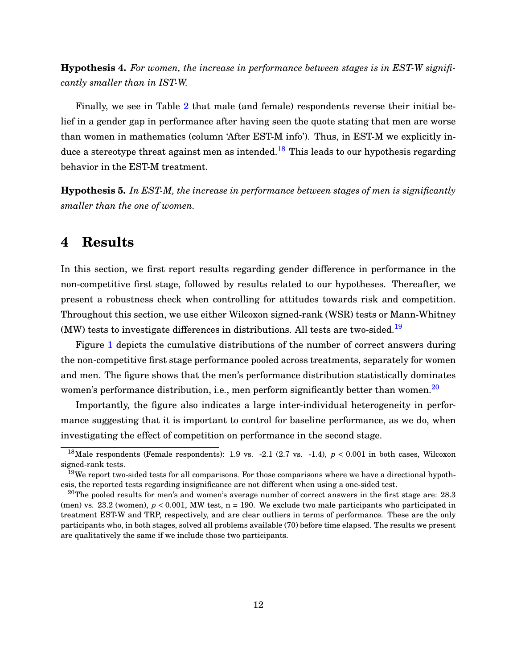<span id="page-14-0"></span>**Hypothesis 4.** *For women, the increase in performance between stages is in EST-W significantly smaller than in IST-W.*

Finally, we see in Table [2](#page-13-0) that male (and female) respondents reverse their initial belief in a gender gap in performance after having seen the quote stating that men are worse than women in mathematics (column 'After EST-M info'). Thus, in EST-M we explicitly induce a stereotype threat against men as intended.<sup>18</sup> This leads to our hypothesis regarding behavior in the EST-M treatment.

**Hypothesis 5.** *In EST-M, the increase in performance between stages of men is significantly smaller than the one of women.*

## **4 Results**

In this section, we first report results regarding gender difference in performance in the non-competitive first stage, followed by results related to our hypotheses. Thereafter, we present a robustness check when controlling for attitudes towards risk and competition. Throughout this section, we use either Wilcoxon signed-rank (WSR) tests or Mann-Whitney  $(MW)$  tests to investigate differences in distributions. All tests are two-sided.<sup>19</sup>

Figure [1](#page-15-0) depicts the cumulative distributions of the number of correct answers during the non-competitive first stage performance pooled across treatments, separately for women and men. The figure shows that the men's performance distribution statistically dominates women's performance distribution, i.e., men perform significantly better than women.<sup>20</sup>

Importantly, the figure also indicates a large inter-individual heterogeneity in performance suggesting that it is important to control for baseline performance, as we do, when investigating the effect of competition on performance in the second stage.

<sup>&</sup>lt;sup>18</sup>Male respondents (Female respondents): 1.9 vs. -2.1 (2.7 vs. -1.4),  $p < 0.001$  in both cases, Wilcoxon signed-rank tests.

 $19W$ e report two-sided tests for all comparisons. For those comparisons where we have a directional hypothesis, the reported tests regarding insignificance are not different when using a one-sided test.

 $^{20}$ The pooled results for men's and women's average number of correct answers in the first stage are: 28.3 (men) vs.  $23.2$  (women),  $p < 0.001$ , MW test, n = 190. We exclude two male participants who participated in treatment EST-W and TRP, respectively, and are clear outliers in terms of performance. These are the only participants who, in both stages, solved all problems available (70) before time elapsed. The results we present are qualitatively the same if we include those two participants.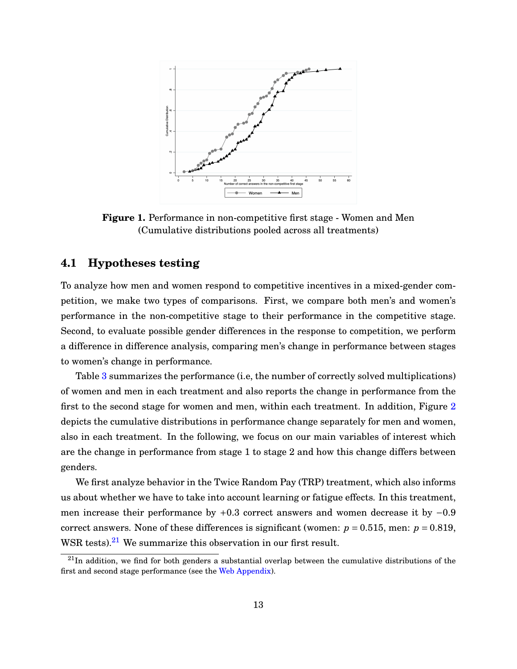<span id="page-15-0"></span>

**Figure 1.** Performance in non-competitive first stage - Women and Men (Cumulative distributions pooled across all treatments)

## **4.1 Hypotheses testing**

To analyze how men and women respond to competitive incentives in a mixed-gender competition, we make two types of comparisons. First, we compare both men's and women's performance in the non-competitive stage to their performance in the competitive stage. Second, to evaluate possible gender differences in the response to competition, we perform a difference in difference analysis, comparing men's change in performance between stages to women's change in performance.

Table [3](#page-16-0) summarizes the performance (i.e, the number of correctly solved multiplications) of women and men in each treatment and also reports the change in performance from the first to the second stage for women and men, within each treatment. In addition, Figure [2](#page-17-0) depicts the cumulative distributions in performance change separately for men and women, also in each treatment. In the following, we focus on our main variables of interest which are the change in performance from stage 1 to stage 2 and how this change differs between genders.

We first analyze behavior in the Twice Random Pay (TRP) treatment, which also informs us about whether we have to take into account learning or fatigue effects. In this treatment, men increase their performance by +0.3 correct answers and women decrease it by −0.9 correct answers. None of these differences is significant (women:  $p = 0.515$ , men:  $p = 0.819$ , WSR tests). $21$  We summarize this observation in our first result.

 $^{21}$ In addition, we find for both genders a substantial overlap between the cumulative distributions of the first and second stage performance (see the [Web Appendix\)](https://drive.google.com/file/d/0B_nE1lM3ktKNaXpVSm1nV2JuZEE/view).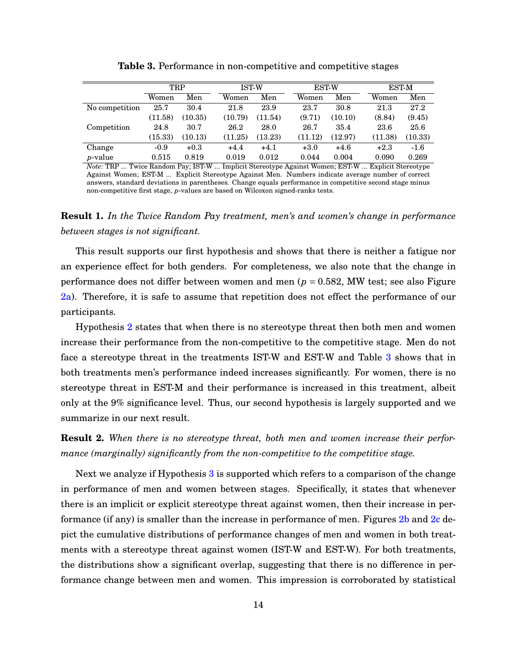<span id="page-16-0"></span>

|                 | TRP     |         |         | <b>IST-W</b> |         | <b>EST-W</b> |         | <b>EST-M</b> |  |
|-----------------|---------|---------|---------|--------------|---------|--------------|---------|--------------|--|
|                 | Women   | Men     | Women   | Men          | Women   | Men          | Women   | Men          |  |
| No competition  | 25.7    | 30.4    | 21.8    | 23.9         | 23.7    | 30.8         | 21.3    | 27.2         |  |
|                 | (11.58) | (10.35) | (10.79) | (11.54)      | (9.71)  | (10.10)      | (8.84)  | (9.45)       |  |
| Competition     | 24.8    | 30.7    | 26.2    | 28.0         | 26.7    | 35.4         | 23.6    | 25.6         |  |
|                 | (15.33) | (10.13) | (11.25) | (13.23)      | (11.12) | (12.97)      | (11.38) | (10.33)      |  |
| Change          | $-0.9$  | $+0.3$  | $+4.4$  | $+4.1$       | $+3.0$  | $+4.6$       | $+2.3$  | $-1.6$       |  |
| <i>p</i> -value | 0.515   | 0.819   | 0.019   | 0.012        | 0.044   | 0.004        | 0.090   | 0.269        |  |

**Table 3.** Performance in non-competitive and competitive stages

*Note:* TRP ... Twice Random Pay; IST-W ... Implicit Stereotype Against Women; EST-W ... Explicit Stereotype Against Women; EST-M ... Explicit Stereotype Against Men. Numbers indicate average number of correct answers, standard deviations in parentheses. Change equals performance in competitive second stage minus non-competitive first stage, *p*-values are based on Wilcoxon signed-ranks tests.

**Result 1.** *In the Twice Random Pay treatment, men's and women's change in performance between stages is not significant.*

This result supports our first hypothesis and shows that there is neither a fatigue nor an experience effect for both genders. For completeness, we also note that the change in performance does not differ between women and men (*p* = 0.582, MW test; see also Figure [2a\)](#page-17-0). Therefore, it is safe to assume that repetition does not effect the performance of our participants.

Hypothesis [2](#page-12-0) states that when there is no stereotype threat then both men and women increase their performance from the non-competitive to the competitive stage. Men do not face a stereotype threat in the treatments IST-W and EST-W and Table 3 shows that in both treatments men's performance indeed increases significantly. For women, there is no stereotype threat in EST-M and their performance is increased in this treatment, albeit only at the 9% significance level. Thus, our second hypothesis is largely supported and we summarize in our next result.

**Result 2.** *When there is no stereotype threat, both men and women increase their performance (marginally) significantly from the non-competitive to the competitive stage.*

Next we analyze if Hypothesis [3](#page-13-0) is supported which refers to a comparison of the change in performance of men and women between stages. Specifically, it states that whenever there is an implicit or explicit stereotype threat against women, then their increase in performance (if any) is smaller than the increase in performance of men. Figures  $2b$  and  $2c$  depict the cumulative distributions of performance changes of men and women in both treatments with a stereotype threat against women (IST-W and EST-W). For both treatments, the distributions show a significant overlap, suggesting that there is no difference in performance change between men and women. This impression is corroborated by statistical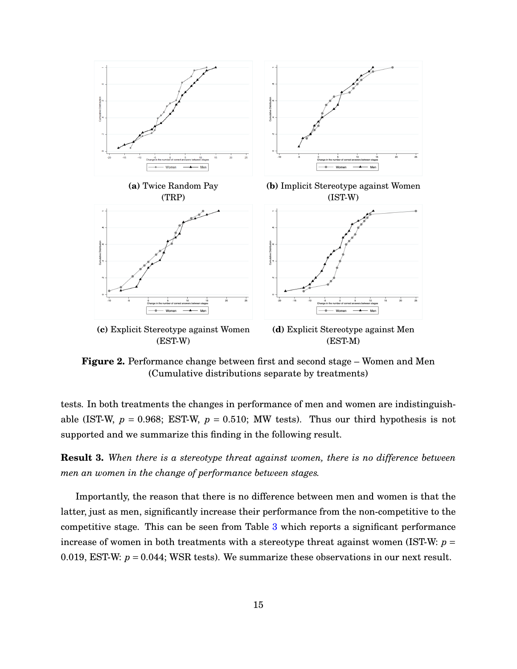<span id="page-17-0"></span>

**Figure 2.** Performance change between first and second stage – Women and Men (Cumulative distributions separate by treatments)

tests. In both treatments the changes in performance of men and women are indistinguishable (IST-W,  $p = 0.968$ ; EST-W,  $p = 0.510$ ; MW tests). Thus our third hypothesis is not supported and we summarize this finding in the following result.

**Result 3.** *When there is a stereotype threat against women, there is no difference between men an women in the change of performance between stages.*

Importantly, the reason that there is no difference between men and women is that the latter, just as men, significantly increase their performance from the non-competitive to the competitive stage. This can be seen from Table [3](#page-16-0) which reports a significant performance increase of women in both treatments with a stereotype threat against women (IST-W: *p* = 0.019, EST-W:  $p = 0.044$ ; WSR tests). We summarize these observations in our next result.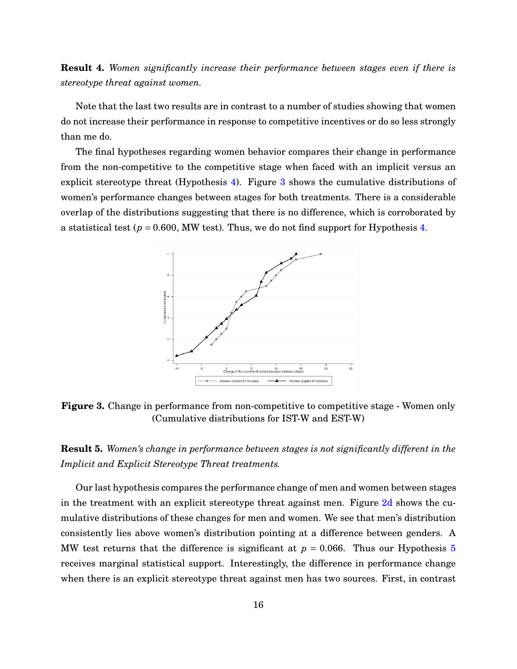**Result 4.** *Women significantly increase their performance between stages even if there is stereotype threat against women.*

Note that the last two results are in contrast to a number of studies showing that women do not increase their performance in response to competitive incentives or do so less strongly than me do.

The final hypotheses regarding women behavior compares their change in performance from the non-competitive to the competitive stage when faced with an implicit versus an explicit stereotype threat (Hypothesis [4\)](#page-14-0). Figure 3 shows the cumulative distributions of women's performance changes between stages for both treatments. There is a considerable overlap of the distributions suggesting that there is no difference, which is corroborated by a statistical test ( $p = 0.600$ , MW test). Thus, we do not find support for Hypothesis [4.](#page-14-0)



**Figure 3.** Change in performance from non-competitive to competitive stage - Women only (Cumulative distributions for IST-W and EST-W)

**Result 5.** *Women's change in performance between stages is not significantly different in the Implicit and Explicit Stereotype Threat treatments.*

Our last hypothesis compares the performance change of men and women between stages in the treatment with an explicit stereotype threat against men. Figure [2d](#page-17-0) shows the cumulative distributions of these changes for men and women. We see that men's distribution consistently lies above women's distribution pointing at a difference between genders. A MW test returns that the difference is significant at  $p = 0.066$ . Thus our Hypothesis [5](#page-14-0) receives marginal statistical support. Interestingly, the difference in performance change when there is an explicit stereotype threat against men has two sources. First, in contrast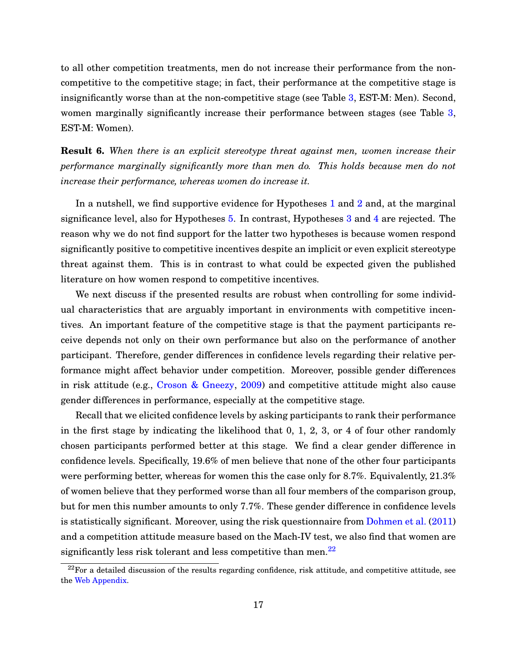to all other competition treatments, men do not increase their performance from the noncompetitive to the competitive stage; in fact, their performance at the competitive stage is insignificantly worse than at the non-competitive stage (see Table [3,](#page-16-0) EST-M: Men). Second, women marginally significantly increase their performance between stages (see Table [3,](#page-16-0) EST-M: Women).

**Result 6.** *When there is an explicit stereotype threat against men, women increase their performance marginally significantly more than men do. This holds because men do not increase their performance, whereas women do increase it.*

In a nutshell, we find supportive evidence for Hypotheses [1](#page-11-0) and [2](#page-12-0) and, at the marginal significance level, also for Hypotheses [5.](#page-14-0) In contrast, Hypotheses [3](#page-13-0) and [4](#page-14-0) are rejected. The reason why we do not find support for the latter two hypotheses is because women respond significantly positive to competitive incentives despite an implicit or even explicit stereotype threat against them. This is in contrast to what could be expected given the published literature on how women respond to competitive incentives.

We next discuss if the presented results are robust when controlling for some individual characteristics that are arguably important in environments with competitive incentives. An important feature of the competitive stage is that the payment participants receive depends not only on their own performance but also on the performance of another participant. Therefore, gender differences in confidence levels regarding their relative performance might affect behavior under competition. Moreover, possible gender differences in risk attitude (e.g., [Croson & Gneezy,](#page-29-0) [2009\)](#page-29-0) and competitive attitude might also cause gender differences in performance, especially at the competitive stage.

Recall that we elicited confidence levels by asking participants to rank their performance in the first stage by indicating the likelihood that 0, 1, 2, 3, or 4 of four other randomly chosen participants performed better at this stage. We find a clear gender difference in confidence levels. Specifically, 19.6% of men believe that none of the other four participants were performing better, whereas for women this the case only for 8.7%. Equivalently, 21.3% of women believe that they performed worse than all four members of the comparison group, but for men this number amounts to only 7.7%. These gender difference in confidence levels is statistically significant. Moreover, using the risk questionnaire from [Dohmen et al.](#page-29-0) [\(2011\)](#page-29-0) and a competition attitude measure based on the Mach-IV test, we also find that women are significantly less risk tolerant and less competitive than men. $^{22}$ 

 $22$ For a detailed discussion of the results regarding confidence, risk attitude, and competitive attitude, see the [Web Appendix.](https://drive.google.com/file/d/0B_nE1lM3ktKNaXpVSm1nV2JuZEE/view)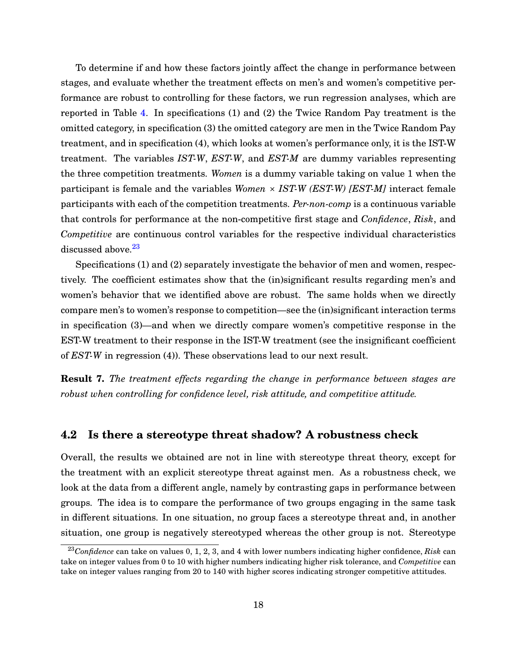To determine if and how these factors jointly affect the change in performance between stages, and evaluate whether the treatment effects on men's and women's competitive performance are robust to controlling for these factors, we run regression analyses, which are reported in Table [4.](#page-21-0) In specifications (1) and (2) the Twice Random Pay treatment is the omitted category, in specification (3) the omitted category are men in the Twice Random Pay treatment, and in specification (4), which looks at women's performance only, it is the IST-W treatment. The variables *IST-W*, *EST-W*, and *EST-M* are dummy variables representing the three competition treatments. *Women* is a dummy variable taking on value 1 when the participant is female and the variables *Women* × *IST-W (EST-W) [EST-M]* interact female participants with each of the competition treatments. *Per-non-comp* is a continuous variable that controls for performance at the non-competitive first stage and *Confidence*, *Risk*, and *Competitive* are continuous control variables for the respective individual characteristics discussed above.<sup>23</sup>

Specifications (1) and (2) separately investigate the behavior of men and women, respectively. The coefficient estimates show that the (in)significant results regarding men's and women's behavior that we identified above are robust. The same holds when we directly compare men's to women's response to competition—see the (in)significant interaction terms in specification (3)—and when we directly compare women's competitive response in the EST-W treatment to their response in the IST-W treatment (see the insignificant coefficient of *EST-W* in regression (4)). These observations lead to our next result.

**Result 7.** *The treatment effects regarding the change in performance between stages are robust when controlling for confidence level, risk attitude, and competitive attitude.*

### **4.2 Is there a stereotype threat shadow? A robustness check**

Overall, the results we obtained are not in line with stereotype threat theory, except for the treatment with an explicit stereotype threat against men. As a robustness check, we look at the data from a different angle, namely by contrasting gaps in performance between groups. The idea is to compare the performance of two groups engaging in the same task in different situations. In one situation, no group faces a stereotype threat and, in another situation, one group is negatively stereotyped whereas the other group is not. Stereotype

<sup>23</sup>*Confidence* can take on values 0, 1, 2, 3, and 4 with lower numbers indicating higher confidence, *Risk* can take on integer values from 0 to 10 with higher numbers indicating higher risk tolerance, and *Competitive* can take on integer values ranging from 20 to 140 with higher scores indicating stronger competitive attitudes.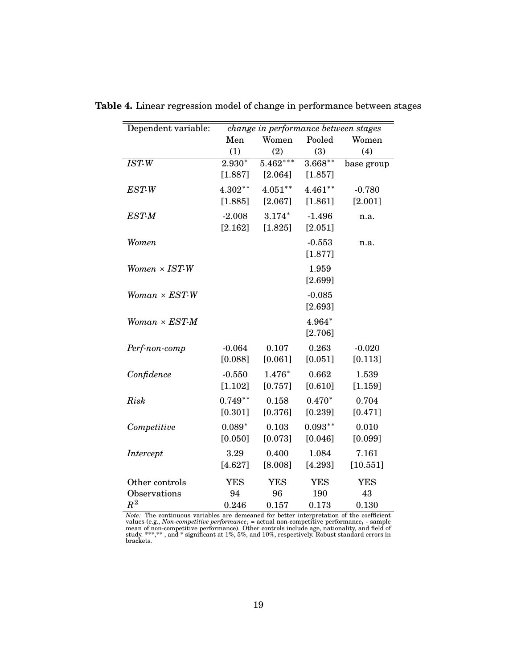| Dependent variable:  | change in performance between stages |              |               |            |  |  |
|----------------------|--------------------------------------|--------------|---------------|------------|--|--|
|                      |                                      | Women<br>Men |               | Women      |  |  |
|                      | (1)                                  | (2)          | Pooled<br>(3) | (4)        |  |  |
| $\overline{IST-W}$   | $2.930*$                             | $5.462***$   | $3.668***$    | base group |  |  |
|                      | [1.887]                              | [2.064]      | [1.857]       |            |  |  |
|                      |                                      |              |               |            |  |  |
| EST-W                | $4.302**$                            | $4.051***$   | $4.461**$     | $-0.780$   |  |  |
|                      | [1.885]                              | [2.067]      | [1.861]       | [2.001]    |  |  |
| EST-M                | $-2.008$                             | $3.174*$     | $-1.496$      | n.a.       |  |  |
|                      | [2.162]                              | [1.825]      | [2.051]       |            |  |  |
| Women                |                                      |              | $-0.553$      | n.a.       |  |  |
|                      |                                      |              | [1.877]       |            |  |  |
| $Women \times IST-W$ |                                      |              | 1.959         |            |  |  |
|                      |                                      |              | [2.699]       |            |  |  |
| $Woman \times EST-W$ |                                      |              | $-0.085$      |            |  |  |
|                      |                                      |              |               |            |  |  |
|                      |                                      |              | [2.693]       |            |  |  |
| $Woman \times EST-M$ |                                      |              | 4.964*        |            |  |  |
|                      |                                      |              | [2.706]       |            |  |  |
| Perf-non-comp        | $-0.064$                             | 0.107        | 0.263         | $-0.020$   |  |  |
|                      | [0.088]                              | [0.061]      | [0.051]       | [0.113]    |  |  |
| Confidence           | $-0.550$                             | 1.476*       | 0.662         | 1.539      |  |  |
|                      | [1.102]                              | [0.757]      | [0.610]       | [1.159]    |  |  |
| Risk                 | $0.749**$                            | 0.158        | $0.470*$      | 0.704      |  |  |
|                      | [0.301]                              | [0.376]      | [0.239]       | [0.471]    |  |  |
|                      |                                      |              |               |            |  |  |
| Competitive          | $0.089*$                             | 0.103        | $0.093**$     | 0.010      |  |  |
|                      | [0.050]                              | [0.073]      | [0.046]       | [0.099]    |  |  |
| Intercept            | 3.29                                 | 0.400        | 1.084         | 7.161      |  |  |
|                      | [4.627]                              | [8.008]      | [4.293]       | [10.551]   |  |  |
| Other controls       | <b>YES</b>                           | <b>YES</b>   | <b>YES</b>    | <b>YES</b> |  |  |
| Observations         | 94                                   | 96           | 190           | 43         |  |  |
| $\,R^2$              | 0.246                                | 0.157        | 0.173         | 0.130      |  |  |

<span id="page-21-0"></span>**Table 4.** Linear regression model of change in performance between stages

*Note:* The continuous variables are demeaned for better interpretation of the coefficient values (e.g., *Non-competitive performance*<sub>*i*</sub> = actual non-competitive performance<sub>*i*</sub> - sample mean of non-competitive perfor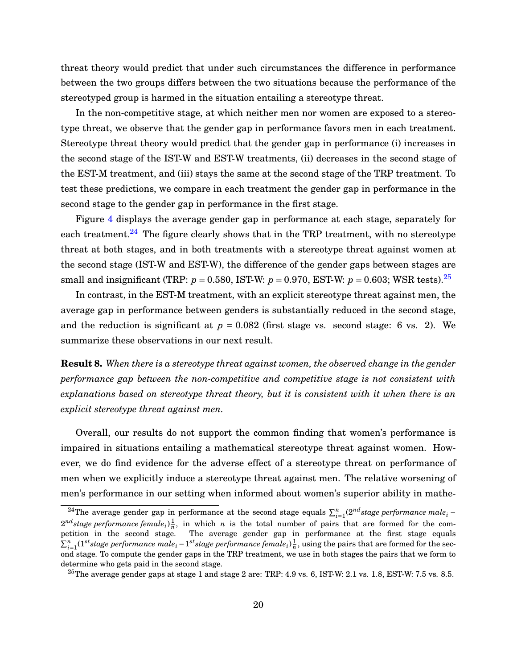threat theory would predict that under such circumstances the difference in performance between the two groups differs between the two situations because the performance of the stereotyped group is harmed in the situation entailing a stereotype threat.

In the non-competitive stage, at which neither men nor women are exposed to a stereotype threat, we observe that the gender gap in performance favors men in each treatment. Stereotype threat theory would predict that the gender gap in performance (i) increases in the second stage of the IST-W and EST-W treatments, (ii) decreases in the second stage of the EST-M treatment, and (iii) stays the same at the second stage of the TRP treatment. To test these predictions, we compare in each treatment the gender gap in performance in the second stage to the gender gap in performance in the first stage.

Figure [4](#page-23-0) displays the average gender gap in performance at each stage, separately for each treatment. $24$  The figure clearly shows that in the TRP treatment, with no stereotype threat at both stages, and in both treatments with a stereotype threat against women at the second stage (IST-W and EST-W), the difference of the gender gaps between stages are small and insignificant (TRP:  $p = 0.580$ , IST-W:  $p = 0.970$ , EST-W:  $p = 0.603$ ; WSR tests).<sup>25</sup>

In contrast, in the EST-M treatment, with an explicit stereotype threat against men, the average gap in performance between genders is substantially reduced in the second stage, and the reduction is significant at  $p = 0.082$  (first stage vs. second stage: 6 vs. 2). We summarize these observations in our next result.

**Result 8.** *When there is a stereotype threat against women, the observed change in the gender performance gap between the non-competitive and competitive stage is not consistent with explanations based on stereotype threat theory, but it is consistent with it when there is an explicit stereotype threat against men.*

Overall, our results do not support the common finding that women's performance is impaired in situations entailing a mathematical stereotype threat against women. However, we do find evidence for the adverse effect of a stereotype threat on performance of men when we explicitly induce a stereotype threat against men. The relative worsening of men's performance in our setting when informed about women's superior ability in mathe-

<sup>&</sup>lt;sup>24</sup>The average gender gap in performance at the second stage equals  $\sum_{i=1}^{n} (2^{nd} stage\ performance\ male_i 2^{nd}$ *stage performance female*<sub>*i*</sub>) $\frac{1}{n}$ , in which *n* is the total number of pairs that are formed for the competition in the second stage. The average gender gap in performance at the first stage equals  $\sum_{i=1}^n (1^{st}$ stage performance male $_i$  −  $1^{st}$ stage performance female $_i$ ) $\frac{1}{n}$ , using the pairs that are formed for the second stage. To compute the gender gaps in the TRP treatment, we use in both stages the pairs that we form to determine who gets paid in the second stage.

<sup>&</sup>lt;sup>25</sup>The average gender gaps at stage 1 and stage 2 are: TRP: 4.9 vs. 6, IST-W: 2.1 vs. 1.8, EST-W: 7.5 vs. 8.5.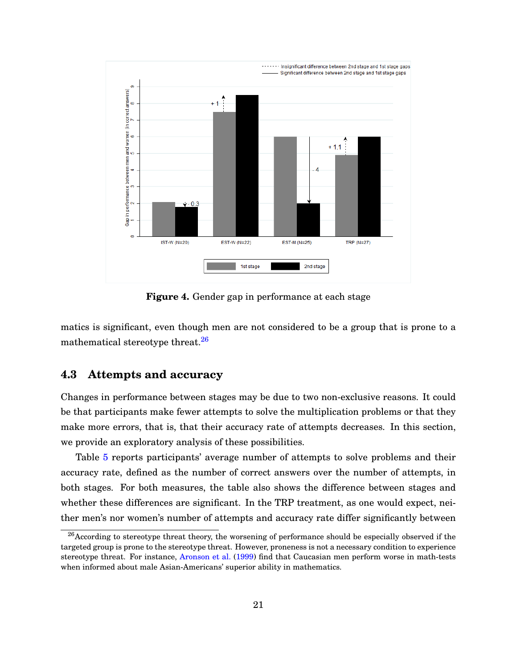<span id="page-23-0"></span>

**Figure 4.** Gender gap in performance at each stage

matics is significant, even though men are not considered to be a group that is prone to a mathematical stereotype threat.<sup>26</sup>

## **4.3 Attempts and accuracy**

Changes in performance between stages may be due to two non-exclusive reasons. It could be that participants make fewer attempts to solve the multiplication problems or that they make more errors, that is, that their accuracy rate of attempts decreases. In this section, we provide an exploratory analysis of these possibilities.

Table [5](#page-24-0) reports participants' average number of attempts to solve problems and their accuracy rate, defined as the number of correct answers over the number of attempts, in both stages. For both measures, the table also shows the difference between stages and whether these differences are significant. In the TRP treatment, as one would expect, neither men's nor women's number of attempts and accuracy rate differ significantly between

 $^{26}$ According to stereotype threat theory, the worsening of performance should be especially observed if the targeted group is prone to the stereotype threat. However, proneness is not a necessary condition to experience stereotype threat. For instance, [Aronson et al.](#page-29-0) [\(1999\)](#page-29-0) find that Caucasian men perform worse in math-tests when informed about male Asian-Americans' superior ability in mathematics.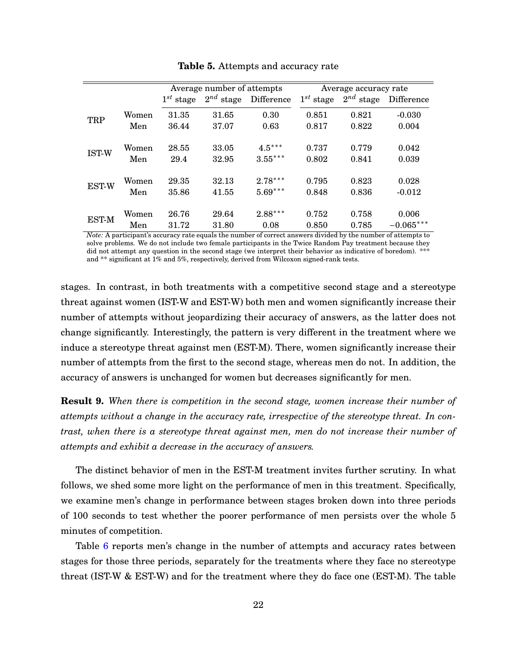<span id="page-24-0"></span>

|              |       |                | Average number of attempts |            | Average accuracy rate |                   |             |  |
|--------------|-------|----------------|----------------------------|------------|-----------------------|-------------------|-------------|--|
|              |       | $1^{st}$ stage | $2^{nd}$ stage             | Difference | $1^{st}$ stage        | $2^{nd}$<br>stage | Difference  |  |
|              | Women | 31.35          | 31.65                      | 0.30       | 0.851                 | 0.821             | $-0.030$    |  |
| TRP          | Men   | 36.44          | 37.07                      | 0.63       | 0.817                 | 0.822             | 0.004       |  |
|              | Women | 28.55          | 33.05                      | $4.5***$   | 0.737                 | 0.779             | 0.042       |  |
| IST-W        | Men   | 29.4           | 32.95                      | $3.55***$  | 0.802                 | 0.841             | 0.039       |  |
| EST-W        | Women | 29.35          | 32.13                      | $2.78***$  | 0.795                 | 0.823             | 0.028       |  |
|              | Men   | 35.86          | 41.55                      | $5.69***$  | 0.848                 | 0.836             | $-0.012$    |  |
| <b>EST-M</b> | Women | 26.76          | 29.64                      | $2.88***$  | 0.752                 | 0.758             | 0.006       |  |
|              | Men   | 31.72          | 31.80                      | 0.08       | 0.850                 | 0.785             | $-0.065***$ |  |

**Table 5.** Attempts and accuracy rate

*Note:* A participant's accuracy rate equals the number of correct answers divided by the number of attempts to solve problems. We do not include two female participants in the Twice Random Pay treatment because they did not attempt any question in the second stage (we interpret their behavior as indicative of boredom). \*\*\* and \*\* significant at 1% and 5%, respectively, derived from Wilcoxon signed-rank tests.

stages. In contrast, in both treatments with a competitive second stage and a stereotype threat against women (IST-W and EST-W) both men and women significantly increase their number of attempts without jeopardizing their accuracy of answers, as the latter does not change significantly. Interestingly, the pattern is very different in the treatment where we induce a stereotype threat against men (EST-M). There, women significantly increase their number of attempts from the first to the second stage, whereas men do not. In addition, the accuracy of answers is unchanged for women but decreases significantly for men.

**Result 9.** *When there is competition in the second stage, women increase their number of attempts without a change in the accuracy rate, irrespective of the stereotype threat. In contrast, when there is a stereotype threat against men, men do not increase their number of attempts and exhibit a decrease in the accuracy of answers.*

The distinct behavior of men in the EST-M treatment invites further scrutiny. In what follows, we shed some more light on the performance of men in this treatment. Specifically, we examine men's change in performance between stages broken down into three periods of 100 seconds to test whether the poorer performance of men persists over the whole 5 minutes of competition.

Table [6](#page-25-0) reports men's change in the number of attempts and accuracy rates between stages for those three periods, separately for the treatments where they face no stereotype threat (IST-W & EST-W) and for the treatment where they do face one (EST-M). The table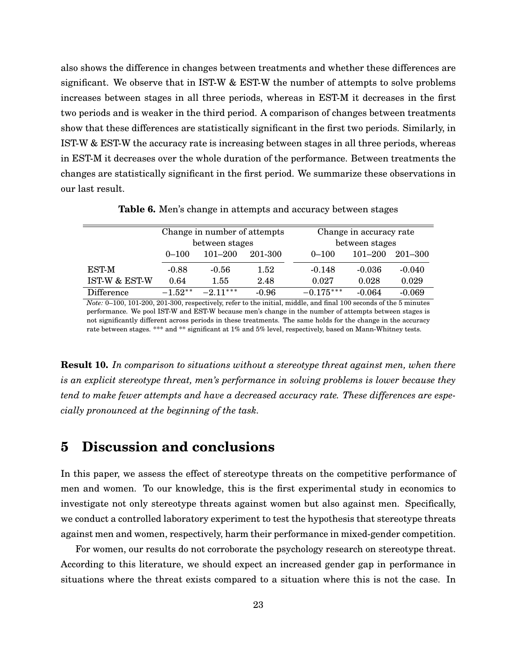<span id="page-25-0"></span>also shows the difference in changes between treatments and whether these differences are significant. We observe that in IST-W & EST-W the number of attempts to solve problems increases between stages in all three periods, whereas in EST-M it decreases in the first two periods and is weaker in the third period. A comparison of changes between treatments show that these differences are statistically significant in the first two periods. Similarly, in IST-W & EST-W the accuracy rate is increasing between stages in all three periods, whereas in EST-M it decreases over the whole duration of the performance. Between treatments the changes are statistically significant in the first period. We summarize these observations in our last result.

|                   |           | Change in number of attempts |         | Change in accuracy rate |             |          |  |
|-------------------|-----------|------------------------------|---------|-------------------------|-------------|----------|--|
|                   |           | between stages               |         | between stages          |             |          |  |
|                   | $0 - 100$ | $101 - 200$                  | 201-300 | $0 - 100$               | $101 - 200$ | 201–300  |  |
| <b>EST-M</b>      | $-0.88$   | $-0.56$                      | 1.52    | $-0.148$                | $-0.036$    | $-0.040$ |  |
| IST-W & EST-W     | 0.64      | 1.55                         | 2.48    | 0.027                   | 0.028       | 0.029    |  |
| <b>Difference</b> | $-1.52**$ | $-2.11***$                   | $-0.96$ | $-0.175***$             | $-0.064$    | $-0.069$ |  |

**Table 6.** Men's change in attempts and accuracy between stages

*Note:* 0–100, 101-200, 201-300, respectively, refer to the initial, middle, and final 100 seconds of the 5 minutes performance. We pool IST-W and EST-W because men's change in the number of attempts between stages is not significantly different across periods in these treatments. The same holds for the change in the accuracy rate between stages. \*\*\* and \*\* significant at 1% and 5% level, respectively, based on Mann-Whitney tests.

**Result 10.** *In comparison to situations without a stereotype threat against men, when there is an explicit stereotype threat, men's performance in solving problems is lower because they tend to make fewer attempts and have a decreased accuracy rate. These differences are especially pronounced at the beginning of the task.*

## **5 Discussion and conclusions**

In this paper, we assess the effect of stereotype threats on the competitive performance of men and women. To our knowledge, this is the first experimental study in economics to investigate not only stereotype threats against women but also against men. Specifically, we conduct a controlled laboratory experiment to test the hypothesis that stereotype threats against men and women, respectively, harm their performance in mixed-gender competition.

For women, our results do not corroborate the psychology research on stereotype threat. According to this literature, we should expect an increased gender gap in performance in situations where the threat exists compared to a situation where this is not the case. In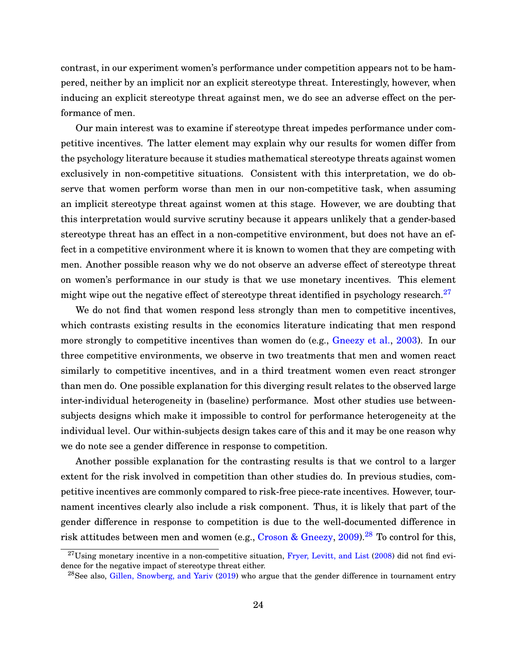contrast, in our experiment women's performance under competition appears not to be hampered, neither by an implicit nor an explicit stereotype threat. Interestingly, however, when inducing an explicit stereotype threat against men, we do see an adverse effect on the performance of men.

Our main interest was to examine if stereotype threat impedes performance under competitive incentives. The latter element may explain why our results for women differ from the psychology literature because it studies mathematical stereotype threats against women exclusively in non-competitive situations. Consistent with this interpretation, we do observe that women perform worse than men in our non-competitive task, when assuming an implicit stereotype threat against women at this stage. However, we are doubting that this interpretation would survive scrutiny because it appears unlikely that a gender-based stereotype threat has an effect in a non-competitive environment, but does not have an effect in a competitive environment where it is known to women that they are competing with men. Another possible reason why we do not observe an adverse effect of stereotype threat on women's performance in our study is that we use monetary incentives. This element might wipe out the negative effect of stereotype threat identified in psychology research.<sup>27</sup>

We do not find that women respond less strongly than men to competitive incentives, which contrasts existing results in the economics literature indicating that men respond more strongly to competitive incentives than women do (e.g., [Gneezy et al.,](#page-30-0) [2003\)](#page-30-0). In our three competitive environments, we observe in two treatments that men and women react similarly to competitive incentives, and in a third treatment women even react stronger than men do. One possible explanation for this diverging result relates to the observed large inter-individual heterogeneity in (baseline) performance. Most other studies use betweensubjects designs which make it impossible to control for performance heterogeneity at the individual level. Our within-subjects design takes care of this and it may be one reason why we do note see a gender difference in response to competition.

Another possible explanation for the contrasting results is that we control to a larger extent for the risk involved in competition than other studies do. In previous studies, competitive incentives are commonly compared to risk-free piece-rate incentives. However, tournament incentives clearly also include a risk component. Thus, it is likely that part of the gender difference in response to competition is due to the well-documented difference in risk attitudes between men and women (e.g., [Croson & Gneezy,](#page-29-0) [2009\)](#page-29-0).<sup>28</sup> To control for this,

 $^{27}$ Using monetary incentive in a non-competitive situation, [Fryer, Levitt, and List](#page-30-0) [\(2008\)](#page-30-0) did not find evidence for the negative impact of stereotype threat either.

<sup>&</sup>lt;sup>28</sup>See also, [Gillen, Snowberg, and Yariv](#page-30-0) [\(2019\)](#page-30-0) who argue that the gender difference in tournament entry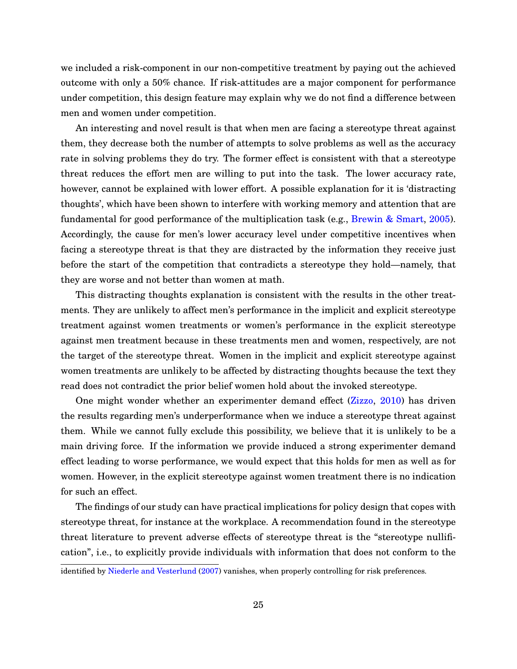we included a risk-component in our non-competitive treatment by paying out the achieved outcome with only a 50% chance. If risk-attitudes are a major component for performance under competition, this design feature may explain why we do not find a difference between men and women under competition.

An interesting and novel result is that when men are facing a stereotype threat against them, they decrease both the number of attempts to solve problems as well as the accuracy rate in solving problems they do try. The former effect is consistent with that a stereotype threat reduces the effort men are willing to put into the task. The lower accuracy rate, however, cannot be explained with lower effort. A possible explanation for it is 'distracting thoughts', which have been shown to interfere with working memory and attention that are fundamental for good performance of the multiplication task (e.g., [Brewin & Smart,](#page-29-0) [2005\)](#page-29-0). Accordingly, the cause for men's lower accuracy level under competitive incentives when facing a stereotype threat is that they are distracted by the information they receive just before the start of the competition that contradicts a stereotype they hold—namely, that they are worse and not better than women at math.

This distracting thoughts explanation is consistent with the results in the other treatments. They are unlikely to affect men's performance in the implicit and explicit stereotype treatment against women treatments or women's performance in the explicit stereotype against men treatment because in these treatments men and women, respectively, are not the target of the stereotype threat. Women in the implicit and explicit stereotype against women treatments are unlikely to be affected by distracting thoughts because the text they read does not contradict the prior belief women hold about the invoked stereotype.

One might wonder whether an experimenter demand effect [\(Zizzo,](#page-31-0) [2010\)](#page-31-0) has driven the results regarding men's underperformance when we induce a stereotype threat against them. While we cannot fully exclude this possibility, we believe that it is unlikely to be a main driving force. If the information we provide induced a strong experimenter demand effect leading to worse performance, we would expect that this holds for men as well as for women. However, in the explicit stereotype against women treatment there is no indication for such an effect.

The findings of our study can have practical implications for policy design that copes with stereotype threat, for instance at the workplace. A recommendation found in the stereotype threat literature to prevent adverse effects of stereotype threat is the "stereotype nullification", i.e., to explicitly provide individuals with information that does not conform to the

identified by [Niederle and Vesterlund](#page-30-0) [\(2007\)](#page-30-0) vanishes, when properly controlling for risk preferences.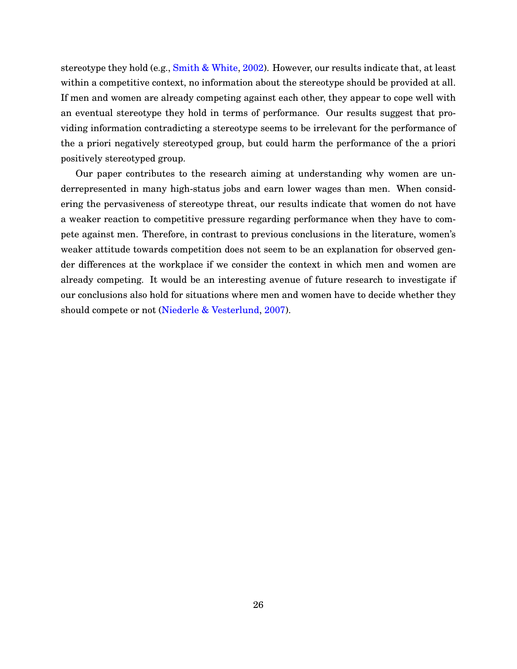stereotype they hold (e.g., [Smith & White,](#page-31-0) [2002\)](#page-31-0). However, our results indicate that, at least within a competitive context, no information about the stereotype should be provided at all. If men and women are already competing against each other, they appear to cope well with an eventual stereotype they hold in terms of performance. Our results suggest that providing information contradicting a stereotype seems to be irrelevant for the performance of the a priori negatively stereotyped group, but could harm the performance of the a priori positively stereotyped group.

Our paper contributes to the research aiming at understanding why women are underrepresented in many high-status jobs and earn lower wages than men. When considering the pervasiveness of stereotype threat, our results indicate that women do not have a weaker reaction to competitive pressure regarding performance when they have to compete against men. Therefore, in contrast to previous conclusions in the literature, women's weaker attitude towards competition does not seem to be an explanation for observed gender differences at the workplace if we consider the context in which men and women are already competing. It would be an interesting avenue of future research to investigate if our conclusions also hold for situations where men and women have to decide whether they should compete or not [\(Niederle & Vesterlund,](#page-30-0) [2007\)](#page-30-0).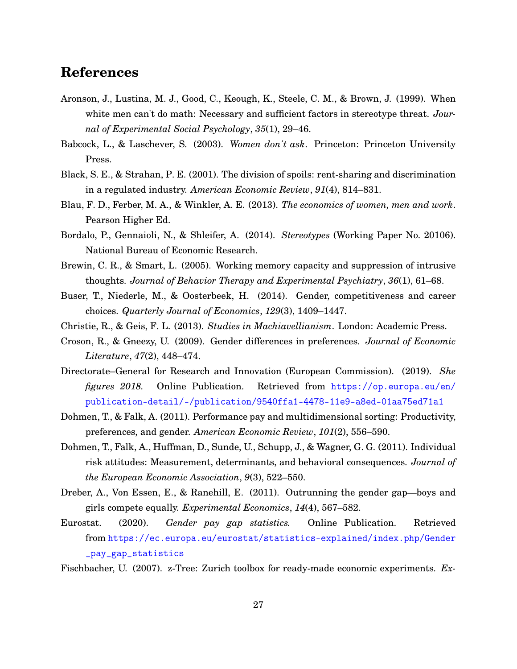# <span id="page-29-0"></span>**References**

- Aronson, J., Lustina, M. J., Good, C., Keough, K., Steele, C. M., & Brown, J. (1999). When white men can't do math: Necessary and sufficient factors in stereotype threat. *Journal of Experimental Social Psychology*, *35*(1), 29–46.
- Babcock, L., & Laschever, S. (2003). *Women don't ask*. Princeton: Princeton University Press.
- Black, S. E., & Strahan, P. E. (2001). The division of spoils: rent-sharing and discrimination in a regulated industry. *American Economic Review*, *91*(4), 814–831.
- Blau, F. D., Ferber, M. A., & Winkler, A. E. (2013). *The economics of women, men and work*. Pearson Higher Ed.
- Bordalo, P., Gennaioli, N., & Shleifer, A. (2014). *Stereotypes* (Working Paper No. 20106). National Bureau of Economic Research.
- Brewin, C. R., & Smart, L. (2005). Working memory capacity and suppression of intrusive thoughts. *Journal of Behavior Therapy and Experimental Psychiatry*, *36*(1), 61–68.
- Buser, T., Niederle, M., & Oosterbeek, H. (2014). Gender, competitiveness and career choices. *Quarterly Journal of Economics*, *129*(3), 1409–1447.
- Christie, R., & Geis, F. L. (2013). *Studies in Machiavellianism*. London: Academic Press.
- Croson, R., & Gneezy, U. (2009). Gender differences in preferences. *Journal of Economic Literature*, *47*(2), 448–474.
- Directorate–General for Research and Innovation (European Commission). (2019). *She figures 2018.* Online Publication. Retrieved from [https://op.europa.eu/en/](https://op.europa.eu/en/publication-detail/-/publication/9540ffa1-4478-11e9-a8ed-01aa75ed71a1) [publication-detail/-/publication/9540ffa1-4478-11e9-a8ed-01aa75ed71a1](https://op.europa.eu/en/publication-detail/-/publication/9540ffa1-4478-11e9-a8ed-01aa75ed71a1)
- Dohmen, T., & Falk, A. (2011). Performance pay and multidimensional sorting: Productivity, preferences, and gender. *American Economic Review*, *101*(2), 556–590.
- Dohmen, T., Falk, A., Huffman, D., Sunde, U., Schupp, J., & Wagner, G. G. (2011). Individual risk attitudes: Measurement, determinants, and behavioral consequences. *Journal of the European Economic Association*, *9*(3), 522–550.
- Dreber, A., Von Essen, E., & Ranehill, E. (2011). Outrunning the gender gap—boys and girls compete equally. *Experimental Economics*, *14*(4), 567–582.
- Eurostat. (2020). *Gender pay gap statistics.* Online Publication. Retrieved from [https://ec.europa.eu/eurostat/statistics-explained/index.php/Gender](https://ec.europa.eu/eurostat/statistics-explained/index.php/Gender_pay_gap_statistics) [\\_pay\\_gap\\_statistics](https://ec.europa.eu/eurostat/statistics-explained/index.php/Gender_pay_gap_statistics)

Fischbacher, U. (2007). z-Tree: Zurich toolbox for ready-made economic experiments. *Ex-*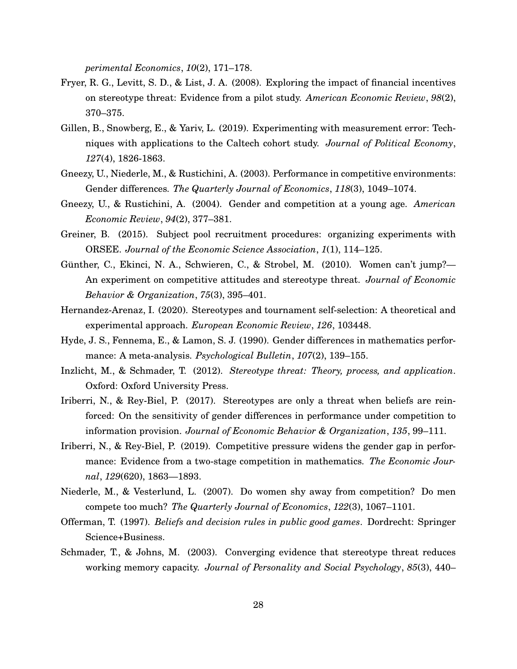*perimental Economics*, *10*(2), 171–178.

- <span id="page-30-0"></span>Fryer, R. G., Levitt, S. D., & List, J. A. (2008). Exploring the impact of financial incentives on stereotype threat: Evidence from a pilot study. *American Economic Review*, *98*(2), 370–375.
- Gillen, B., Snowberg, E., & Yariv, L. (2019). Experimenting with measurement error: Techniques with applications to the Caltech cohort study. *Journal of Political Economy*, *127*(4), 1826-1863.
- Gneezy, U., Niederle, M., & Rustichini, A. (2003). Performance in competitive environments: Gender differences. *The Quarterly Journal of Economics*, *118*(3), 1049–1074.
- Gneezy, U., & Rustichini, A. (2004). Gender and competition at a young age. *American Economic Review*, *94*(2), 377–381.
- Greiner, B. (2015). Subject pool recruitment procedures: organizing experiments with ORSEE. *Journal of the Economic Science Association*, *1*(1), 114–125.
- Günther, C., Ekinci, N. A., Schwieren, C., & Strobel, M. (2010). Women can't jump?— An experiment on competitive attitudes and stereotype threat. *Journal of Economic Behavior & Organization*, *75*(3), 395–401.
- Hernandez-Arenaz, I. (2020). Stereotypes and tournament self-selection: A theoretical and experimental approach. *European Economic Review*, *126*, 103448.
- Hyde, J. S., Fennema, E., & Lamon, S. J. (1990). Gender differences in mathematics performance: A meta-analysis. *Psychological Bulletin*, *107*(2), 139–155.
- Inzlicht, M., & Schmader, T. (2012). *Stereotype threat: Theory, process, and application*. Oxford: Oxford University Press.
- Iriberri, N., & Rey-Biel, P. (2017). Stereotypes are only a threat when beliefs are reinforced: On the sensitivity of gender differences in performance under competition to information provision. *Journal of Economic Behavior & Organization*, *135*, 99–111.
- Iriberri, N., & Rey-Biel, P. (2019). Competitive pressure widens the gender gap in performance: Evidence from a two-stage competition in mathematics. *The Economic Journal*, *129*(620), 1863—1893.
- Niederle, M., & Vesterlund, L. (2007). Do women shy away from competition? Do men compete too much? *The Quarterly Journal of Economics*, *122*(3), 1067–1101.
- Offerman, T. (1997). *Beliefs and decision rules in public good games*. Dordrecht: Springer Science+Business.
- Schmader, T., & Johns, M. (2003). Converging evidence that stereotype threat reduces working memory capacity. *Journal of Personality and Social Psychology*, *85*(3), 440–